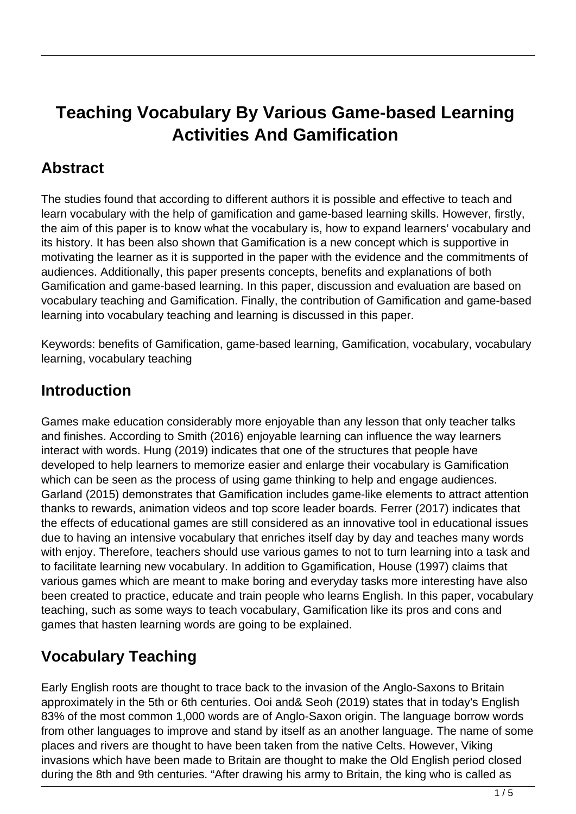# **Teaching Vocabulary By Various Game-based Learning Activities And Gamification**

## **Abstract**

The studies found that according to different authors it is possible and effective to teach and learn vocabulary with the help of gamification and game-based learning skills. However, firstly, the aim of this paper is to know what the vocabulary is, how to expand learners' vocabulary and its history. It has been also shown that Gamification is a new concept which is supportive in motivating the learner as it is supported in the paper with the evidence and the commitments of audiences. Additionally, this paper presents concepts, benefits and explanations of both Gamification and game-based learning. In this paper, discussion and evaluation are based on vocabulary teaching and Gamification. Finally, the contribution of Gamification and game-based learning into vocabulary teaching and learning is discussed in this paper.

Keywords: benefits of Gamification, game-based learning, Gamification, vocabulary, vocabulary learning, vocabulary teaching

#### **Introduction**

Games make education considerably more enjoyable than any lesson that only teacher talks and finishes. According to Smith (2016) enjoyable learning can influence the way learners interact with words. Hung (2019) indicates that one of the structures that people have developed to help learners to memorize easier and enlarge their vocabulary is Gamification which can be seen as the process of using game thinking to help and engage audiences. Garland (2015) demonstrates that Gamification includes game-like elements to attract attention thanks to rewards, animation videos and top score leader boards. Ferrer (2017) indicates that the effects of educational games are still considered as an innovative tool in educational issues due to having an intensive vocabulary that enriches itself day by day and teaches many words with enjoy. Therefore, teachers should use various games to not to turn learning into a task and to facilitate learning new vocabulary. In addition to Ggamification, House (1997) claims that various games which are meant to make boring and everyday tasks more interesting have also been created to practice, educate and train people who learns English. In this paper, vocabulary teaching, such as some ways to teach vocabulary, Gamification like its pros and cons and games that hasten learning words are going to be explained.

## **Vocabulary Teaching**

Early English roots are thought to trace back to the invasion of the Anglo-Saxons to Britain approximately in the 5th or 6th centuries. Ooi and& Seoh (2019) states that in today's English 83% of the most common 1,000 words are of Anglo-Saxon origin. The language borrow words from other languages to improve and stand by itself as an another language. The name of some places and rivers are thought to have been taken from the native Celts. However, Viking invasions which have been made to Britain are thought to make the Old English period closed during the 8th and 9th centuries. "After drawing his army to Britain, the king who is called as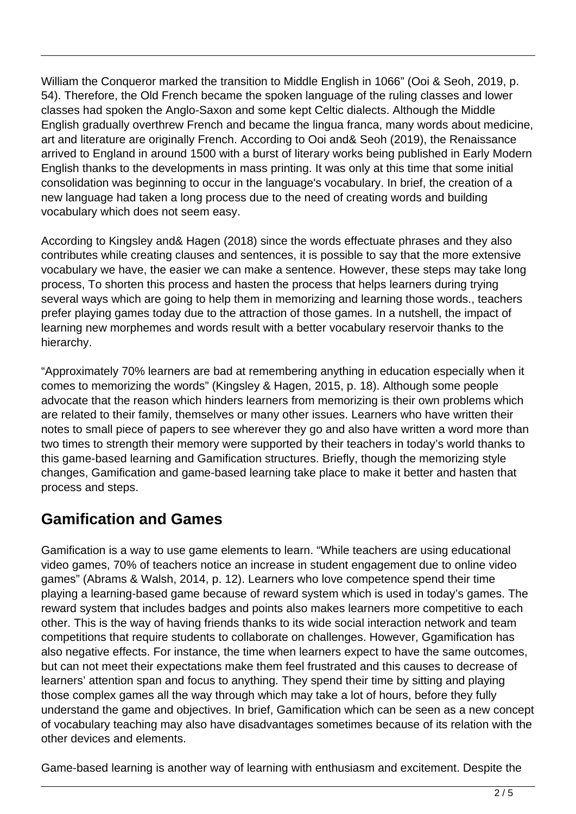William the Conqueror marked the transition to Middle English in 1066" (Ooi & Seoh, 2019, p. 54). Therefore, the Old French became the spoken language of the ruling classes and lower classes had spoken the Anglo-Saxon and some kept Celtic dialects. Although the Middle English gradually overthrew French and became the lingua franca, many words about medicine, art and literature are originally French. According to Ooi and& Seoh (2019), the Renaissance arrived to England in around 1500 with a burst of literary works being published in Early Modern English thanks to the developments in mass printing. It was only at this time that some initial consolidation was beginning to occur in the language's vocabulary. In brief, the creation of a new language had taken a long process due to the need of creating words and building vocabulary which does not seem easy.

According to Kingsley and& Hagen (2018) since the words effectuate phrases and they also contributes while creating clauses and sentences, it is possible to say that the more extensive vocabulary we have, the easier we can make a sentence. However, these steps may take long process, To shorten this process and hasten the process that helps learners during trying several ways which are going to help them in memorizing and learning those words., teachers prefer playing games today due to the attraction of those games. In a nutshell, the impact of learning new morphemes and words result with a better vocabulary reservoir thanks to the hierarchy.

"Approximately 70% learners are bad at remembering anything in education especially when it comes to memorizing the words" (Kingsley & Hagen, 2015, p. 18). Although some people advocate that the reason which hinders learners from memorizing is their own problems which are related to their family, themselves or many other issues. Learners who have written their notes to small piece of papers to see wherever they go and also have written a word more than two times to strength their memory were supported by their teachers in today's world thanks to this game-based learning and Gamification structures. Briefly, though the memorizing style changes, Gamification and game-based learning take place to make it better and hasten that process and steps.

#### **Gamification and Games**

Gamification is a way to use game elements to learn. "While teachers are using educational video games, 70% of teachers notice an increase in student engagement due to online video games" (Abrams & Walsh, 2014, p. 12). Learners who love competence spend their time playing a learning-based game because of reward system which is used in today's games. The reward system that includes badges and points also makes learners more competitive to each other. This is the way of having friends thanks to its wide social interaction network and team competitions that require students to collaborate on challenges. However, Ggamification has also negative effects. For instance, the time when learners expect to have the same outcomes, but can not meet their expectations make them feel frustrated and this causes to decrease of learners' attention span and focus to anything. They spend their time by sitting and playing those complex games all the way through which may take a lot of hours, before they fully understand the game and objectives. In brief, Gamification which can be seen as a new concept of vocabulary teaching may also have disadvantages sometimes because of its relation with the other devices and elements.

Game-based learning is another way of learning with enthusiasm and excitement. Despite the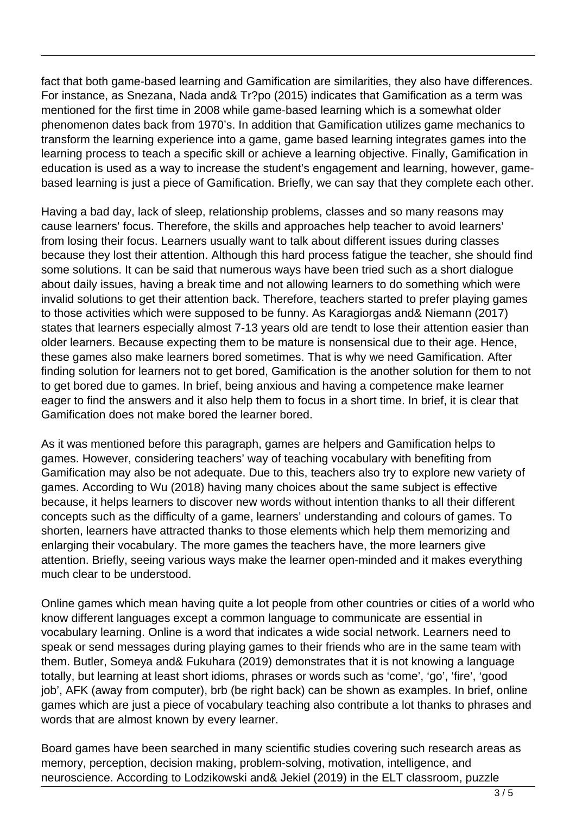fact that both game-based learning and Gamification are similarities, they also have differences. For instance, as Snezana, Nada and& Tr?po (2015) indicates that Gamification as a term was mentioned for the first time in 2008 while game-based learning which is a somewhat older phenomenon dates back from 1970's. In addition that Gamification utilizes game mechanics to transform the learning experience into a game, game based learning integrates games into the learning process to teach a specific skill or achieve a learning objective. Finally, Gamification in education is used as a way to increase the student's engagement and learning, however, gamebased learning is just a piece of Gamification. Briefly, we can say that they complete each other.

Having a bad day, lack of sleep, relationship problems, classes and so many reasons may cause learners' focus. Therefore, the skills and approaches help teacher to avoid learners' from losing their focus. Learners usually want to talk about different issues during classes because they lost their attention. Although this hard process fatigue the teacher, she should find some solutions. It can be said that numerous ways have been tried such as a short dialogue about daily issues, having a break time and not allowing learners to do something which were invalid solutions to get their attention back. Therefore, teachers started to prefer playing games to those activities which were supposed to be funny. As Karagiorgas and& Niemann (2017) states that learners especially almost 7-13 years old are tendt to lose their attention easier than older learners. Because expecting them to be mature is nonsensical due to their age. Hence, these games also make learners bored sometimes. That is why we need Gamification. After finding solution for learners not to get bored, Gamification is the another solution for them to not to get bored due to games. In brief, being anxious and having a competence make learner eager to find the answers and it also help them to focus in a short time. In brief, it is clear that Gamification does not make bored the learner bored.

As it was mentioned before this paragraph, games are helpers and Gamification helps to games. However, considering teachers' way of teaching vocabulary with benefiting from Gamification may also be not adequate. Due to this, teachers also try to explore new variety of games. According to Wu (2018) having many choices about the same subject is effective because, it helps learners to discover new words without intention thanks to all their different concepts such as the difficulty of a game, learners' understanding and colours of games. To shorten, learners have attracted thanks to those elements which help them memorizing and enlarging their vocabulary. The more games the teachers have, the more learners give attention. Briefly, seeing various ways make the learner open-minded and it makes everything much clear to be understood.

Online games which mean having quite a lot people from other countries or cities of a world who know different languages except a common language to communicate are essential in vocabulary learning. Online is a word that indicates a wide social network. Learners need to speak or send messages during playing games to their friends who are in the same team with them. Butler, Someya and& Fukuhara (2019) demonstrates that it is not knowing a language totally, but learning at least short idioms, phrases or words such as 'come', 'go', 'fire', 'good job', AFK (away from computer), brb (be right back) can be shown as examples. In brief, online games which are just a piece of vocabulary teaching also contribute a lot thanks to phrases and words that are almost known by every learner.

Board games have been searched in many scientific studies covering such research areas as memory, perception, decision making, problem-solving, motivation, intelligence, and neuroscience. According to Lodzikowski and& Jekiel (2019) in the ELT classroom, puzzle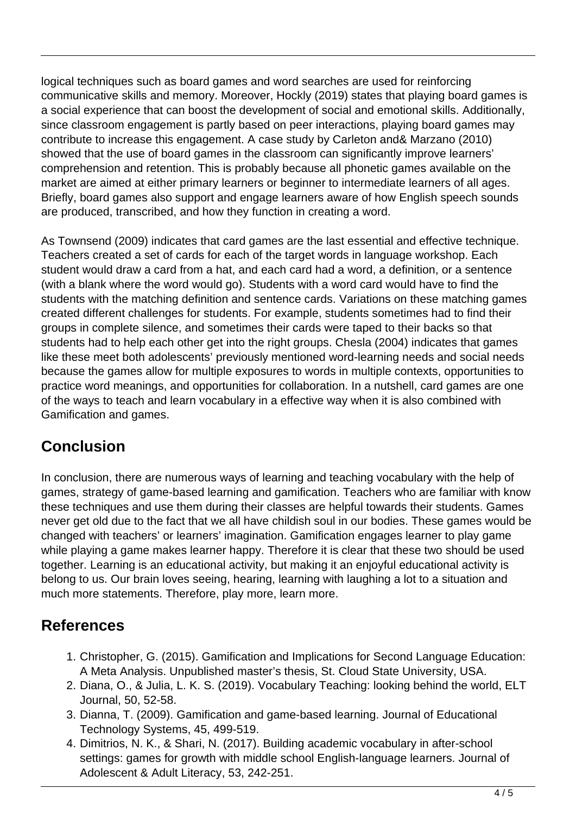logical techniques such as board games and word searches are used for reinforcing communicative skills and memory. Moreover, Hockly (2019) states that playing board games is a social experience that can boost the development of social and emotional skills. Additionally, since classroom engagement is partly based on peer interactions, playing board games may contribute to increase this engagement. A case study by Carleton and& Marzano (2010) showed that the use of board games in the classroom can significantly improve learners' comprehension and retention. This is probably because all phonetic games available on the market are aimed at either primary learners or beginner to intermediate learners of all ages. Briefly, board games also support and engage learners aware of how English speech sounds are produced, transcribed, and how they function in creating a word.

As Townsend (2009) indicates that card games are the last essential and effective technique. Teachers created a set of cards for each of the target words in language workshop. Each student would draw a card from a hat, and each card had a word, a definition, or a sentence (with a blank where the word would go). Students with a word card would have to find the students with the matching definition and sentence cards. Variations on these matching games created different challenges for students. For example, students sometimes had to find their groups in complete silence, and sometimes their cards were taped to their backs so that students had to help each other get into the right groups. Chesla (2004) indicates that games like these meet both adolescents' previously mentioned word-learning needs and social needs because the games allow for multiple exposures to words in multiple contexts, opportunities to practice word meanings, and opportunities for collaboration. In a nutshell, card games are one of the ways to teach and learn vocabulary in a effective way when it is also combined with Gamification and games.

## **Conclusion**

In conclusion, there are numerous ways of learning and teaching vocabulary with the help of games, strategy of game-based learning and gamification. Teachers who are familiar with know these techniques and use them during their classes are helpful towards their students. Games never get old due to the fact that we all have childish soul in our bodies. These games would be changed with teachers' or learners' imagination. Gamification engages learner to play game while playing a game makes learner happy. Therefore it is clear that these two should be used together. Learning is an educational activity, but making it an enjoyful educational activity is belong to us. Our brain loves seeing, hearing, learning with laughing a lot to a situation and much more statements. Therefore, play more, learn more.

## **References**

- 1. Christopher, G. (2015). Gamification and Implications for Second Language Education: A Meta Analysis. Unpublished master's thesis, St. Cloud State University, USA.
- 2. Diana, O., & Julia, L. K. S. (2019). Vocabulary Teaching: looking behind the world, ELT Journal, 50, 52-58.
- 3. Dianna, T. (2009). Gamification and game-based learning. Journal of Educational Technology Systems, 45, 499-519.
- 4. Dimitrios, N. K., & Shari, N. (2017). Building academic vocabulary in after-school settings: games for growth with middle school English-language learners. Journal of Adolescent & Adult Literacy, 53, 242-251.